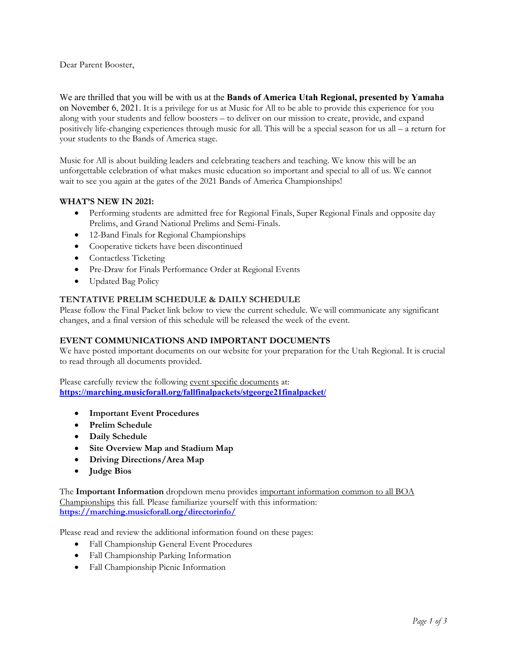Dear Parent Booster,

We are thrilled that you will be with us at the **Bands of America Utah Regional, presented by Yamaha** on November 6, 2021. It is a privilege for us at Music for All to be able to provide this experience for you along with your students and fellow boosters – to deliver on our mission to create, provide, and expand positively life-changing experiences through music for all. This will be a special season for us all – a return for your students to the Bands of America stage.

Music for All is about building leaders and celebrating teachers and teaching. We know this will be an unforgettable celebration of what makes music education so important and special to all of us. We cannot wait to see you again at the gates of the 2021 Bands of America Championships!

## **WHAT'S NEW IN 2021:**

- Performing students are admitted free for Regional Finals, Super Regional Finals and opposite day Prelims, and Grand National Prelims and Semi-Finals.
- 12-Band Finals for Regional Championships
- Cooperative tickets have been discontinued
- Contactless Ticketing
- Pre-Draw for Finals Performance Order at Regional Events
- Updated Bag Policy

## **TENTATIVE PRELIM SCHEDULE & DAILY SCHEDULE**

Please follow the Final Packet link below to view the current schedule. We will communicate any significant changes, and a final version of this schedule will be released the week of the event.

#### **EVENT COMMUNICATIONS AND IMPORTANT DOCUMENTS**

We have posted important documents on our website for your preparation for the Utah Regional. It is crucial to read through all documents provided.

Please carefully review the following event specific documents at: **<https://marching.musicforall.org/fallfinalpackets/stgeorge21finalpacket/>**

- **Important Event Procedures**
- **Prelim Schedule**
- **Daily Schedule**
- **Site Overview Map and Stadium Map**
- **Driving Directions/Area Map**
- **Judge Bios**

The **Important Information** dropdown menu provides important information common to all BOA Championships this fall. Please familiarize yourself with this information: **<https://marching.musicforall.org/directorinfo/>**

Please read and review the additional information found on these pages:

- Fall Championship General Event Procedures
- Fall Championship Parking Information
- Fall Championship Picnic Information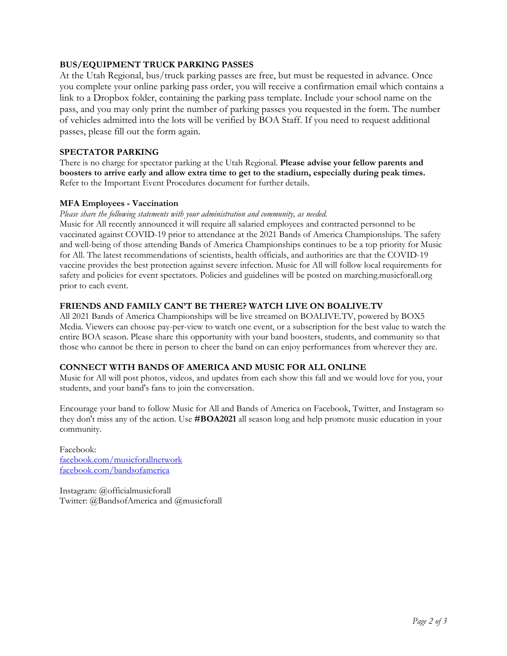## **BUS/EQUIPMENT TRUCK PARKING PASSES**

At the Utah Regional, bus/truck parking passes are free, but must be requested in advance. Once you complete your online parking pass order, you will receive a confirmation email which contains a link to a Dropbox folder, containing the parking pass template. Include your school name on the pass, and you may only print the number of parking passes you requested in the form. The number of vehicles admitted into the lots will be verified by BOA Staff. If you need to request additional passes, please fill out the form again.

## **SPECTATOR PARKING**

There is no charge for spectator parking at the Utah Regional. **Please advise your fellow parents and boosters to arrive early and allow extra time to get to the stadium, especially during peak times.** Refer to the Important Event Procedures document for further details.

## **MFA Employees - Vaccination**

*Please share the following statements with your administration and community, as needed.*

Music for All recently announced it will require all salaried employees and contracted personnel to be vaccinated against COVID-19 prior to attendance at the 2021 Bands of America Championships. The safety and well-being of those attending Bands of America Championships continues to be a top priority for Music for All. The latest recommendations of scientists, health officials, and authorities are that the COVID-19 vaccine provides the best protection against severe infection. Music for All will follow local requirements for safety and policies for event spectators. Policies and guidelines will be posted on marching.musicforall.org prior to each event.

## **FRIENDS AND FAMILY CAN'T BE THERE? WATCH LIVE ON BOALIVE.TV**

All 2021 Bands of America Championships will be live streamed on [BOALIVE.TV,](https://boalive.tv/) powered by BOX5 Media. Viewers can choose pay-per-view to watch one event, or a subscription for the best value to watch the entire BOA season. Please share this opportunity with your band boosters, students, and community so that those who cannot be there in person to cheer the band on can enjoy performances from wherever they are.

# **CONNECT WITH BANDS OF AMERICA AND MUSIC FOR ALL ONLINE**

Music for All will post photos, videos, and updates from each show this fall and we would love for you, your students, and your band's fans to join the conversation.

Encourage your band to follow Music for All and Bands of America on Facebook, Twitter, and Instagram so they don't miss any of the action. Use **#BOA2021** all season long and help promote music education in your community.

Facebook: [facebook.com/musicforallnetwork](http://www.facebook.com/musicforallnetwork) [facebook.com/bandsofamerica](http://www.facebook.com/bandsofamerica)

Instagram: @officialmusicforall Twitter: @BandsofAmerica and @musicforall